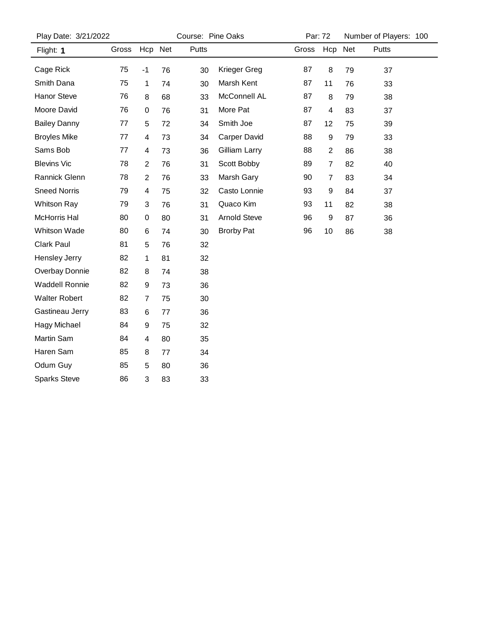| Play Date: 3/21/2022  |       |                | Course: Pine Oaks |       |                     |       | Par: 72        |    | Number of Players: 100 |  |
|-----------------------|-------|----------------|-------------------|-------|---------------------|-------|----------------|----|------------------------|--|
| Flight: 1             | Gross | Hcp Net        |                   | Putts |                     | Gross | Hcp Net        |    | Putts                  |  |
| Cage Rick             | 75    | $-1$           | 76                | 30    | Krieger Greg        | 87    | 8              | 79 | 37                     |  |
| Smith Dana            | 75    | 1              | 74                | 30    | Marsh Kent          | 87    | 11             | 76 | 33                     |  |
| <b>Hanor Steve</b>    | 76    | 8              | 68                | 33    | McConnell AL        | 87    | 8              | 79 | 38                     |  |
| Moore David           | 76    | 0              | 76                | 31    | More Pat            | 87    | 4              | 83 | 37                     |  |
| <b>Bailey Danny</b>   | 77    | 5              | 72                | 34    | Smith Joe           | 87    | 12             | 75 | 39                     |  |
| <b>Broyles Mike</b>   | 77    | 4              | 73                | 34    | <b>Carper David</b> | 88    | 9              | 79 | 33                     |  |
| Sams Bob              | 77    | 4              | 73                | 36    | Gilliam Larry       | 88    | $\overline{2}$ | 86 | 38                     |  |
| <b>Blevins Vic</b>    | 78    | $\overline{c}$ | 76                | 31    | Scott Bobby         | 89    | $\overline{7}$ | 82 | 40                     |  |
| Rannick Glenn         | 78    | $\overline{2}$ | 76                | 33    | Marsh Gary          | 90    | 7              | 83 | 34                     |  |
| <b>Sneed Norris</b>   | 79    | 4              | 75                | 32    | Casto Lonnie        | 93    | 9              | 84 | 37                     |  |
| <b>Whitson Ray</b>    | 79    | 3              | 76                | 31    | Quaco Kim           | 93    | 11             | 82 | 38                     |  |
| <b>McHorris Hal</b>   | 80    | 0              | 80                | 31    | <b>Arnold Steve</b> | 96    | 9              | 87 | 36                     |  |
| Whitson Wade          | 80    | 6              | 74                | 30    | <b>Brorby Pat</b>   | 96    | 10             | 86 | 38                     |  |
| Clark Paul            | 81    | 5              | 76                | 32    |                     |       |                |    |                        |  |
| Hensley Jerry         | 82    | 1              | 81                | 32    |                     |       |                |    |                        |  |
| Overbay Donnie        | 82    | 8              | 74                | 38    |                     |       |                |    |                        |  |
| <b>Waddell Ronnie</b> | 82    | 9              | 73                | 36    |                     |       |                |    |                        |  |
| <b>Walter Robert</b>  | 82    | 7              | 75                | 30    |                     |       |                |    |                        |  |
| Gastineau Jerry       | 83    | 6              | 77                | 36    |                     |       |                |    |                        |  |
| <b>Hagy Michael</b>   | 84    | 9              | 75                | 32    |                     |       |                |    |                        |  |
| Martin Sam            | 84    | 4              | 80                | 35    |                     |       |                |    |                        |  |
| Haren Sam             | 85    | 8              | 77                | 34    |                     |       |                |    |                        |  |
| Odum Guy              | 85    | 5              | 80                | 36    |                     |       |                |    |                        |  |
| <b>Sparks Steve</b>   | 86    | 3              | 83                | 33    |                     |       |                |    |                        |  |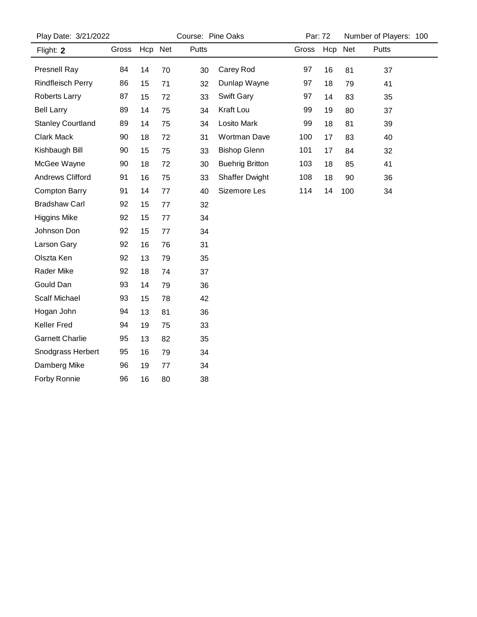| Play Date: 3/21/2022     |       |         | Course: Pine Oaks |       |                        |       | Par: 72 |         | Number of Players: 100 |  |
|--------------------------|-------|---------|-------------------|-------|------------------------|-------|---------|---------|------------------------|--|
| Flight: 2                | Gross | Hcp Net |                   | Putts |                        | Gross |         | Hcp Net | <b>Putts</b>           |  |
| Presnell Ray             | 84    | 14      | 70                | 30    | Carey Rod              | 97    | 16      | 81      | 37                     |  |
| <b>Rindfleisch Perry</b> | 86    | 15      | 71                | 32    | Dunlap Wayne           | 97    | 18      | 79      | 41                     |  |
| Roberts Larry            | 87    | 15      | 72                | 33    | Swift Gary             | 97    | 14      | 83      | 35                     |  |
| <b>Bell Larry</b>        | 89    | 14      | 75                | 34    | Kraft Lou              | 99    | 19      | 80      | 37                     |  |
| <b>Stanley Courtland</b> | 89    | 14      | 75                | 34    | Losito Mark            | 99    | 18      | 81      | 39                     |  |
| Clark Mack               | 90    | 18      | 72                | 31    | Wortman Dave           | 100   | 17      | 83      | 40                     |  |
| Kishbaugh Bill           | 90    | 15      | 75                | 33    | <b>Bishop Glenn</b>    | 101   | 17      | 84      | 32                     |  |
| McGee Wayne              | 90    | 18      | 72                | 30    | <b>Buehrig Britton</b> | 103   | 18      | 85      | 41                     |  |
| Andrews Clifford         | 91    | 16      | 75                | 33    | <b>Shaffer Dwight</b>  | 108   | 18      | 90      | 36                     |  |
| <b>Compton Barry</b>     | 91    | 14      | 77                | 40    | Sizemore Les           | 114   | 14      | 100     | 34                     |  |
| <b>Bradshaw Carl</b>     | 92    | 15      | 77                | 32    |                        |       |         |         |                        |  |
| <b>Higgins Mike</b>      | 92    | 15      | 77                | 34    |                        |       |         |         |                        |  |
| Johnson Don              | 92    | 15      | 77                | 34    |                        |       |         |         |                        |  |
| Larson Gary              | 92    | 16      | 76                | 31    |                        |       |         |         |                        |  |
| Olszta Ken               | 92    | 13      | 79                | 35    |                        |       |         |         |                        |  |
| <b>Rader Mike</b>        | 92    | 18      | 74                | 37    |                        |       |         |         |                        |  |
| Gould Dan                | 93    | 14      | 79                | 36    |                        |       |         |         |                        |  |
| Scalf Michael            | 93    | 15      | 78                | 42    |                        |       |         |         |                        |  |
| Hogan John               | 94    | 13      | 81                | 36    |                        |       |         |         |                        |  |
| <b>Keller Fred</b>       | 94    | 19      | 75                | 33    |                        |       |         |         |                        |  |
| <b>Garnett Charlie</b>   | 95    | 13      | 82                | 35    |                        |       |         |         |                        |  |
| Snodgrass Herbert        | 95    | 16      | 79                | 34    |                        |       |         |         |                        |  |
| Damberg Mike             | 96    | 19      | 77                | 34    |                        |       |         |         |                        |  |
| Forby Ronnie             | 96    | 16      | 80                | 38    |                        |       |         |         |                        |  |